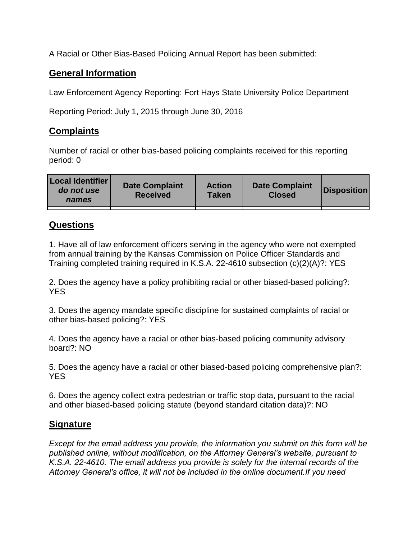A Racial or Other Bias-Based Policing Annual Report has been submitted:

## **General Information**

Law Enforcement Agency Reporting: Fort Hays State University Police Department

Reporting Period: July 1, 2015 through June 30, 2016

## **Complaints**

Number of racial or other bias-based policing complaints received for this reporting period: 0

| <b>Local Identifier</b><br>do not use<br>names | <b>Date Complaint</b><br><b>Received</b> | <b>Action</b><br><b>Taken</b> | <b>Date Complaint</b><br><b>Closed</b> | Disposition |
|------------------------------------------------|------------------------------------------|-------------------------------|----------------------------------------|-------------|
|                                                |                                          |                               |                                        |             |

## **Questions**

1. Have all of law enforcement officers serving in the agency who were not exempted from annual training by the Kansas Commission on Police Officer Standards and Training completed training required in K.S.A. 22-4610 subsection (c)(2)(A)?: YES

2. Does the agency have a policy prohibiting racial or other biased-based policing?: YES

3. Does the agency mandate specific discipline for sustained complaints of racial or other bias-based policing?: YES

4. Does the agency have a racial or other bias-based policing community advisory board?: NO

5. Does the agency have a racial or other biased-based policing comprehensive plan?: YES

6. Does the agency collect extra pedestrian or traffic stop data, pursuant to the racial and other biased-based policing statute (beyond standard citation data)?: NO

## **Signature**

*Except for the email address you provide, the information you submit on this form will be published online, without modification, on the Attorney General's website, pursuant to K.S.A. 22-4610. The email address you provide is solely for the internal records of the Attorney General's office, it will not be included in the online document.If you need*